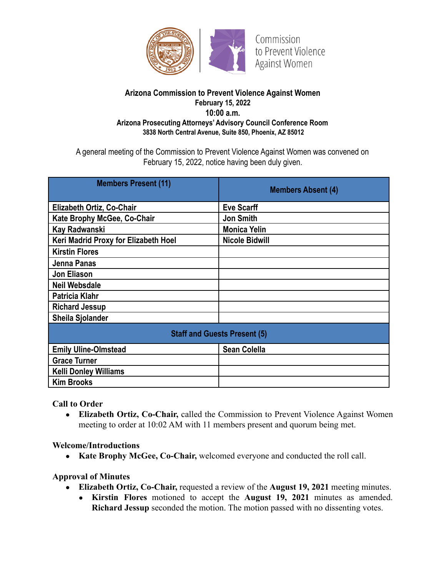

#### **Arizona Commission to Prevent Violence Against Women February 15, 2022 10:00 a.m. Arizona Prosecuting Attorneys' Advisory Council Conference Room 3838 North Central Avenue, Suite 850, Phoenix, AZ 85012**

A general meeting of the Commission to Prevent Violence Against Women was convened on February 15, 2022, notice having been duly given.

| <b>Members Present (11)</b>          | <b>Members Absent (4)</b> |
|--------------------------------------|---------------------------|
| Elizabeth Ortiz, Co-Chair            | <b>Eve Scarff</b>         |
| Kate Brophy McGee, Co-Chair          | <b>Jon Smith</b>          |
| Kay Radwanski                        | <b>Monica Yelin</b>       |
| Keri Madrid Proxy for Elizabeth Hoel | <b>Nicole Bidwill</b>     |
| <b>Kirstin Flores</b>                |                           |
| Jenna Panas                          |                           |
| <b>Jon Eliason</b>                   |                           |
| <b>Neil Websdale</b>                 |                           |
| <b>Patricia Klahr</b>                |                           |
| <b>Richard Jessup</b>                |                           |
| <b>Sheila Sjolander</b>              |                           |
| <b>Staff and Guests Present (5)</b>  |                           |
| <b>Emily Uline-Olmstead</b>          | <b>Sean Colella</b>       |
| <b>Grace Turner</b>                  |                           |
| <b>Kelli Donley Williams</b>         |                           |
| <b>Kim Brooks</b>                    |                           |

**Call to Order**

**● Elizabeth Ortiz, Co-Chair,** called the Commission to Prevent Violence Against Women meeting to order at 10:02 AM with 11 members present and quorum being met.

**Welcome/Introductions**

**● Kate Brophy McGee, Co-Chair,** welcomed everyone and conducted the roll call.

**Approval of Minutes**

- **Elizabeth Ortiz, Co-Chair,** requested a review of the **August 19, 2021** meeting minutes.
	- **Kirstin Flores** motioned to accept the **August 19, 2021** minutes as amended. **Richard Jessup** seconded the motion. The motion passed with no dissenting votes.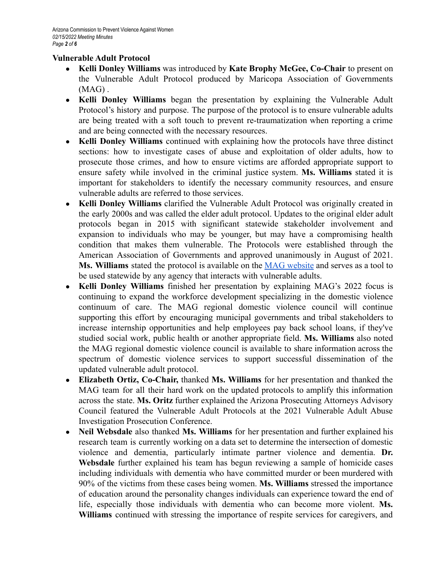#### **Vulnerable Adult Protocol**

- **● Kelli Donley Williams** was introduced by **Kate Brophy McGee, Co-Chair** to present on the Vulnerable Adult Protocol produced by Maricopa Association of Governments  $(MAG)$ .
- **Kelli Donley Williams** began the presentation by explaining the Vulnerable Adult Protocol's history and purpose. The purpose of the protocol is to ensure vulnerable adults are being treated with a soft touch to prevent re-traumatization when reporting a crime and are being connected with the necessary resources.
- **Kelli Donley Williams** continued with explaining how the protocols have three distinct sections: how to investigate cases of abuse and exploitation of older adults, how to prosecute those crimes, and how to ensure victims are afforded appropriate support to ensure safety while involved in the criminal justice system. **Ms. Williams** stated it is important for stakeholders to identify the necessary community resources, and ensure vulnerable adults are referred to those services.
- **Kelli Donley Williams** clarified the Vulnerable Adult Protocol was originally created in the early 2000s and was called the elder adult protocol. Updates to the original elder adult protocols began in 2015 with significant statewide stakeholder involvement and expansion to individuals who may be younger, but may have a compromising health condition that makes them vulnerable. The Protocols were established through the American Association of Governments and approved unanimously in August of 2021. **Ms. Williams** stated the protocol is available on the MAG [website](https://azmag.gov/Portals/0/Documents/MagContent/RDVC_2021-08-19_item-05_Vulnerable-Adult-Protocol-Update-and-Approval.pdf) and serves as a tool to be used statewide by any agency that interacts with vulnerable adults.
- **Kelli Donley Williams** finished her presentation by explaining MAG's 2022 focus is continuing to expand the workforce development specializing in the domestic violence continuum of care. The MAG regional domestic violence council will continue supporting this effort by encouraging municipal governments and tribal stakeholders to increase internship opportunities and help employees pay back school loans, if they've studied social work, public health or another appropriate field. **Ms. Williams** also noted the MAG regional domestic violence council is available to share information across the spectrum of domestic violence services to support successful dissemination of the updated vulnerable adult protocol.
- **Elizabeth Ortiz, Co-Chair,** thanked **Ms. Williams** for her presentation and thanked the MAG team for all their hard work on the updated protocols to amplify this information across the state. **Ms. Oritz** further explained the Arizona Prosecuting Attorneys Advisory Council featured the Vulnerable Adult Protocols at the 2021 Vulnerable Adult Abuse Investigation Prosecution Conference.
- Neil Websdale also thanked Ms. Williams for her presentation and further explained his research team is currently working on a data set to determine the intersection of domestic violence and dementia, particularly intimate partner violence and dementia. **Dr. Websdale** further explained his team has begun reviewing a sample of homicide cases including individuals with dementia who have committed murder or been murdered with 90% of the victims from these cases being women. **Ms. Williams** stressed the importance of education around the personality changes individuals can experience toward the end of life, especially those individuals with dementia who can become more violent. **Ms. Williams** continued with stressing the importance of respite services for caregivers, and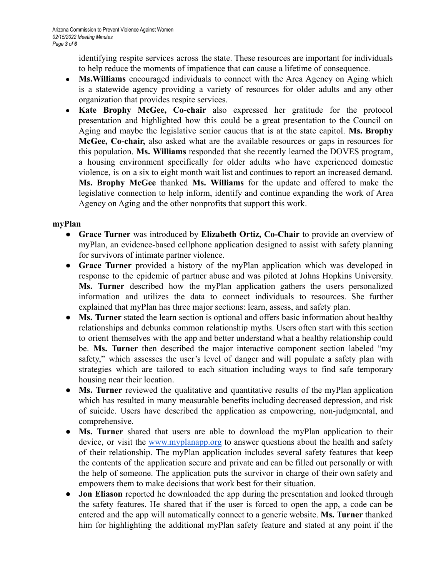identifying respite services across the state. These resources are important for individuals to help reduce the moments of impatience that can cause a lifetime of consequence.

- **● Ms.Williams** encouraged individuals to connect with the Area Agency on Aging which is a statewide agency providing a variety of resources for older adults and any other organization that provides respite services.
- **Kate Brophy McGee, Co-chair** also expressed her gratitude for the protocol presentation and highlighted how this could be a great presentation to the Council on Aging and maybe the legislative senior caucus that is at the state capitol. **Ms. Brophy McGee, Co-chair,** also asked what are the available resources or gaps in resources for this population. **Ms. Williams** responded that she recently learned the DOVES program, a housing environment specifically for older adults who have experienced domestic violence, is on a six to eight month wait list and continues to report an increased demand. **Ms. Brophy McGee** thanked **Ms. Williams** for the update and offered to make the legislative connection to help inform, identify and continue expanding the work of Area Agency on Aging and the other nonprofits that support this work.

#### **myPlan**

- **Grace Turner** was introduced by **Elizabeth Ortiz, Co-Chair** to provide an overview of myPlan, an evidence-based cellphone application designed to assist with safety planning for survivors of intimate partner violence.
- **Grace Turner** provided a history of the myPlan application which was developed in response to the epidemic of partner abuse and was piloted at Johns Hopkins University. **Ms. Turner** described how the myPlan application gathers the users personalized information and utilizes the data to connect individuals to resources. She further explained that myPlan has three major sections: learn, assess, and safety plan.
- **Ms. Turner** stated the learn section is optional and offers basic information about healthy relationships and debunks common relationship myths. Users often start with this section to orient themselves with the app and better understand what a healthy relationship could be. **Ms. Turner** then described the major interactive component section labeled "my safety," which assesses the user's level of danger and will populate a safety plan with strategies which are tailored to each situation including ways to find safe temporary housing near their location.
- **Ms. Turner** reviewed the qualitative and quantitative results of the myPlan application which has resulted in many measurable benefits including decreased depression, and risk of suicide. Users have described the application as empowering, non-judgmental, and comprehensive.
- **Ms. Turner** shared that users are able to download the myPlan application to their device, or visit the [www.myplanapp.org](http://www.myplanapp.org) to answer questions about the health and safety of their relationship. The myPlan application includes several safety features that keep the contents of the application secure and private and can be filled out personally or with the help of someone. The application puts the survivor in charge of their own safety and empowers them to make decisions that work best for their situation.
- **Jon Eliason** reported he downloaded the app during the presentation and looked through the safety features. He shared that if the user is forced to open the app, a code can be entered and the app will automatically connect to a generic website. **Ms. Turner** thanked him for highlighting the additional myPlan safety feature and stated at any point if the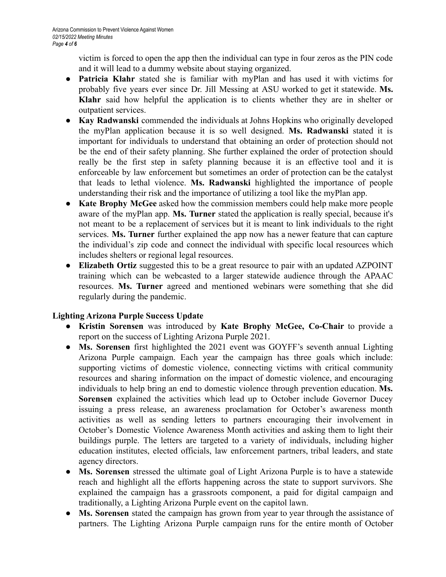victim is forced to open the app then the individual can type in four zeros as the PIN code and it will lead to a dummy website about staying organized.

- **Patricia Klahr** stated she is familiar with myPlan and has used it with victims for probably five years ever since Dr. Jill Messing at ASU worked to get it statewide. **Ms. Klahr** said how helpful the application is to clients whether they are in shelter or outpatient services.
- **Kay Radwanski** commended the individuals at Johns Hopkins who originally developed the myPlan application because it is so well designed. **Ms. Radwanski** stated it is important for individuals to understand that obtaining an order of protection should not be the end of their safety planning. She further explained the order of protection should really be the first step in safety planning because it is an effective tool and it is enforceable by law enforcement but sometimes an order of protection can be the catalyst that leads to lethal violence. **Ms. Radwanski** highlighted the importance of people understanding their risk and the importance of utilizing a tool like the myPlan app.
- **Kate Brophy McGee** asked how the commission members could help make more people aware of the myPlan app. **Ms. Turner** stated the application is really special, because it's not meant to be a replacement of services but it is meant to link individuals to the right services. **Ms. Turner** further explained the app now has a newer feature that can capture the individual's zip code and connect the individual with specific local resources which includes shelters or regional legal resources.
- **Elizabeth Ortiz** suggested this to be a great resource to pair with an updated AZPOINT training which can be webcasted to a larger statewide audience through the APAAC resources. **Ms. Turner** agreed and mentioned webinars were something that she did regularly during the pandemic.

## **Lighting Arizona Purple Success Update**

- **Kristin Sorensen** was introduced by **Kate Brophy McGee, Co-Chair** to provide a report on the success of Lighting Arizona Purple 2021.
- **Ms. Sorensen** first highlighted the 2021 event was GOYFF's seventh annual Lighting Arizona Purple campaign. Each year the campaign has three goals which include: supporting victims of domestic violence, connecting victims with critical community resources and sharing information on the impact of domestic violence, and encouraging individuals to help bring an end to domestic violence through prevention education. **Ms. Sorensen** explained the activities which lead up to October include Governor Ducey issuing a press release, an awareness proclamation for October's awareness month activities as well as sending letters to partners encouraging their involvement in October's Domestic Violence Awareness Month activities and asking them to light their buildings purple. The letters are targeted to a variety of individuals, including higher education institutes, elected officials, law enforcement partners, tribal leaders, and state agency directors.
- **Ms. Sorensen** stressed the ultimate goal of Light Arizona Purple is to have a statewide reach and highlight all the efforts happening across the state to support survivors. She explained the campaign has a grassroots component, a paid for digital campaign and traditionally, a Lighting Arizona Purple event on the capitol lawn.
- **Ms. Sorensen** stated the campaign has grown from year to year through the assistance of partners. The Lighting Arizona Purple campaign runs for the entire month of October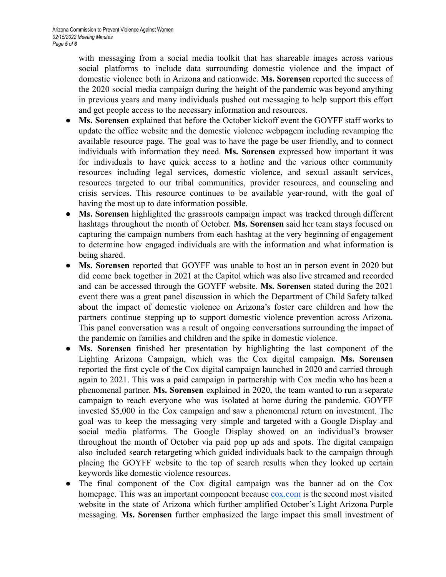with messaging from a social media toolkit that has shareable images across various social platforms to include data surrounding domestic violence and the impact of domestic violence both in Arizona and nationwide. **Ms. Sorensen** reported the success of the 2020 social media campaign during the height of the pandemic was beyond anything in previous years and many individuals pushed out messaging to help support this effort and get people access to the necessary information and resources.

- **Ms. Sorensen** explained that before the October kickoff event the GOYFF staff works to update the office website and the domestic violence webpagem including revamping the available resource page. The goal was to have the page be user friendly, and to connect individuals with information they need. **Ms. Sorensen** expressed how important it was for individuals to have quick access to a hotline and the various other community resources including legal services, domestic violence, and sexual assault services, resources targeted to our tribal communities, provider resources, and counseling and crisis services. This resource continues to be available year-round, with the goal of having the most up to date information possible.
- **Ms. Sorensen** highlighted the grassroots campaign impact was tracked through different hashtags throughout the month of October. **Ms. Sorensen** said her team stays focused on capturing the campaign numbers from each hashtag at the very beginning of engagement to determine how engaged individuals are with the information and what information is being shared.
- **Ms. Sorensen** reported that GOYFF was unable to host an in person event in 2020 but did come back together in 2021 at the Capitol which was also live streamed and recorded and can be accessed through the GOYFF website. **Ms. Sorensen** stated during the 2021 event there was a great panel discussion in which the Department of Child Safety talked about the impact of domestic violence on Arizona's foster care children and how the partners continue stepping up to support domestic violence prevention across Arizona. This panel conversation was a result of ongoing conversations surrounding the impact of the pandemic on families and children and the spike in domestic violence.
- **Ms. Sorensen** finished her presentation by highlighting the last component of the Lighting Arizona Campaign, which was the Cox digital campaign. **Ms. Sorensen** reported the first cycle of the Cox digital campaign launched in 2020 and carried through again to 2021. This was a paid campaign in partnership with Cox media who has been a phenomenal partner. **Ms. Sorensen** explained in 2020, the team wanted to run a separate campaign to reach everyone who was isolated at home during the pandemic. GOYFF invested \$5,000 in the Cox campaign and saw a phenomenal return on investment. The goal was to keep the messaging very simple and targeted with a Google Display and social media platforms. The Google Display showed on an individual's browser throughout the month of October via paid pop up ads and spots. The digital campaign also included search retargeting which guided individuals back to the campaign through placing the GOYFF website to the top of search results when they looked up certain keywords like domestic violence resources.
- The final component of the Cox digital campaign was the banner ad on the Cox homepage. This was an important component because [cox.com](https://www.cox.com/residential/home.html) is the second most visited website in the state of Arizona which further amplified October's Light Arizona Purple messaging. **Ms. Sorensen** further emphasized the large impact this small investment of